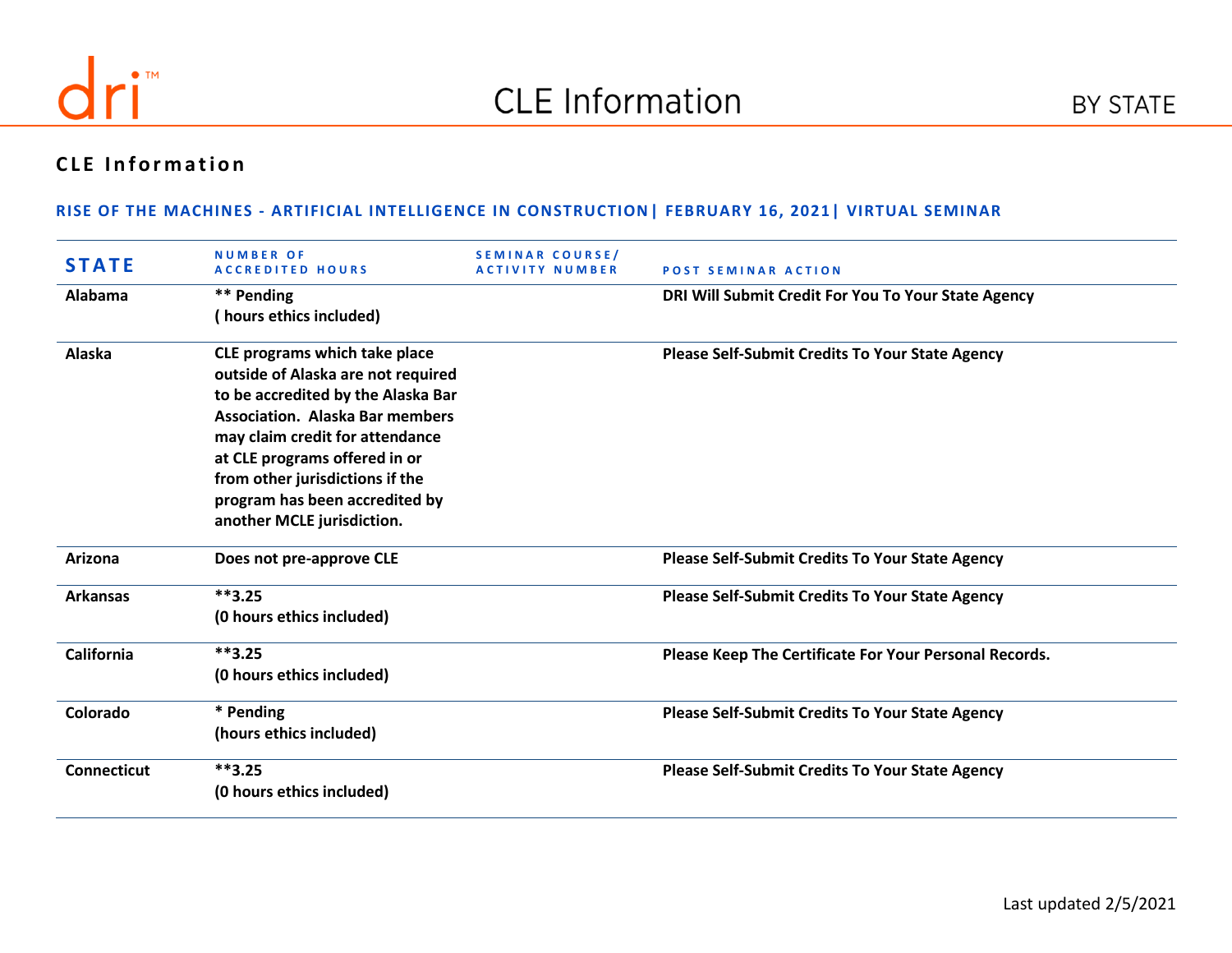

#### **CLE Information**

#### **RISE OF THE MACHINES - ARTIFICIAL INTELLIGENCE IN CONSTRUCTION| FEBRUARY 16, 2021| VIRTUAL SEMINAR**

| <b>STATE</b>       | <b>NUMBER OF</b><br><b>ACCREDITED HOURS</b>                                                                                                                                                                                                                                                                                | <b>SEMINAR COURSE/</b><br><b>ACTIVITY NUMBER</b> | <b>POST SEMINAR ACTION</b>                             |
|--------------------|----------------------------------------------------------------------------------------------------------------------------------------------------------------------------------------------------------------------------------------------------------------------------------------------------------------------------|--------------------------------------------------|--------------------------------------------------------|
| Alabama            | ** Pending<br>(hours ethics included)                                                                                                                                                                                                                                                                                      |                                                  | DRI Will Submit Credit For You To Your State Agency    |
| Alaska             | CLE programs which take place<br>outside of Alaska are not required<br>to be accredited by the Alaska Bar<br><b>Association. Alaska Bar members</b><br>may claim credit for attendance<br>at CLE programs offered in or<br>from other jurisdictions if the<br>program has been accredited by<br>another MCLE jurisdiction. |                                                  | <b>Please Self-Submit Credits To Your State Agency</b> |
| Arizona            | Does not pre-approve CLE                                                                                                                                                                                                                                                                                                   |                                                  | <b>Please Self-Submit Credits To Your State Agency</b> |
| <b>Arkansas</b>    | $***3.25$<br>(0 hours ethics included)                                                                                                                                                                                                                                                                                     |                                                  | <b>Please Self-Submit Credits To Your State Agency</b> |
| <b>California</b>  | $***3.25$<br>(0 hours ethics included)                                                                                                                                                                                                                                                                                     |                                                  | Please Keep The Certificate For Your Personal Records. |
| Colorado           | * Pending<br>(hours ethics included)                                                                                                                                                                                                                                                                                       |                                                  | <b>Please Self-Submit Credits To Your State Agency</b> |
| <b>Connecticut</b> | $***3.25$<br>(0 hours ethics included)                                                                                                                                                                                                                                                                                     |                                                  | <b>Please Self-Submit Credits To Your State Agency</b> |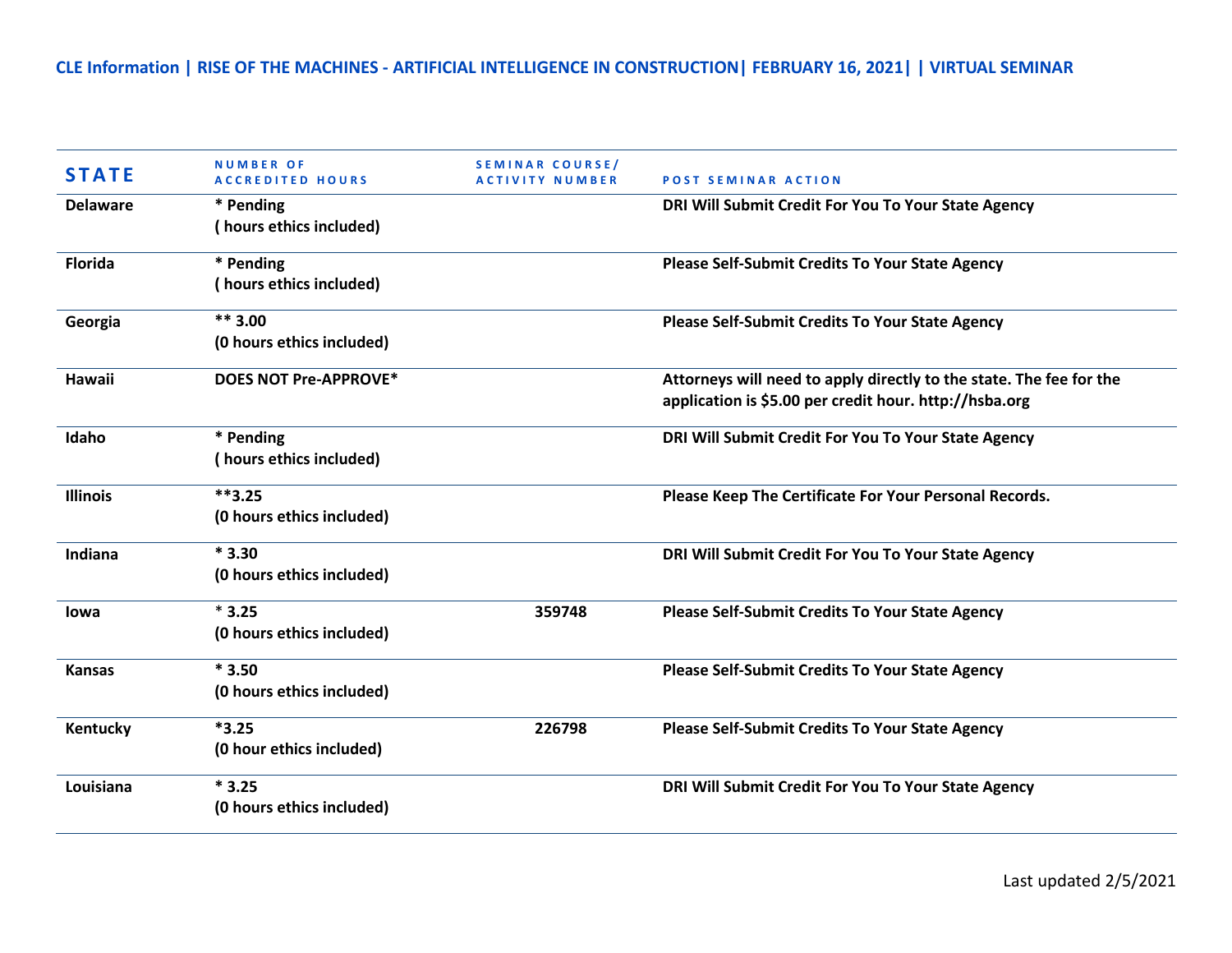| <b>STATE</b>    | <b>NUMBER OF</b><br><b>ACCREDITED HOURS</b> | SEMINAR COURSE/<br><b>ACTIVITY NUMBER</b> | <b>POST SEMINAR ACTION</b>                                                                                                    |
|-----------------|---------------------------------------------|-------------------------------------------|-------------------------------------------------------------------------------------------------------------------------------|
| <b>Delaware</b> | * Pending<br>(hours ethics included)        |                                           | DRI Will Submit Credit For You To Your State Agency                                                                           |
| <b>Florida</b>  | * Pending<br>(hours ethics included)        |                                           | <b>Please Self-Submit Credits To Your State Agency</b>                                                                        |
| Georgia         | $** 3.00$<br>(0 hours ethics included)      |                                           | <b>Please Self-Submit Credits To Your State Agency</b>                                                                        |
| Hawaii          | <b>DOES NOT Pre-APPROVE*</b>                |                                           | Attorneys will need to apply directly to the state. The fee for the<br>application is \$5.00 per credit hour. http://hsba.org |
| Idaho           | * Pending<br>(hours ethics included)        |                                           | DRI Will Submit Credit For You To Your State Agency                                                                           |
| <b>Illinois</b> | $***3.25$<br>(0 hours ethics included)      |                                           | Please Keep The Certificate For Your Personal Records.                                                                        |
| Indiana         | $*3.30$<br>(0 hours ethics included)        |                                           | DRI Will Submit Credit For You To Your State Agency                                                                           |
| lowa            | $*3.25$<br>(0 hours ethics included)        | 359748                                    | Please Self-Submit Credits To Your State Agency                                                                               |
| <b>Kansas</b>   | $*3.50$<br>(0 hours ethics included)        |                                           | <b>Please Self-Submit Credits To Your State Agency</b>                                                                        |
| Kentucky        | $*3.25$<br>(0 hour ethics included)         | 226798                                    | <b>Please Self-Submit Credits To Your State Agency</b>                                                                        |
| Louisiana       | $*3.25$<br>(0 hours ethics included)        |                                           | DRI Will Submit Credit For You To Your State Agency                                                                           |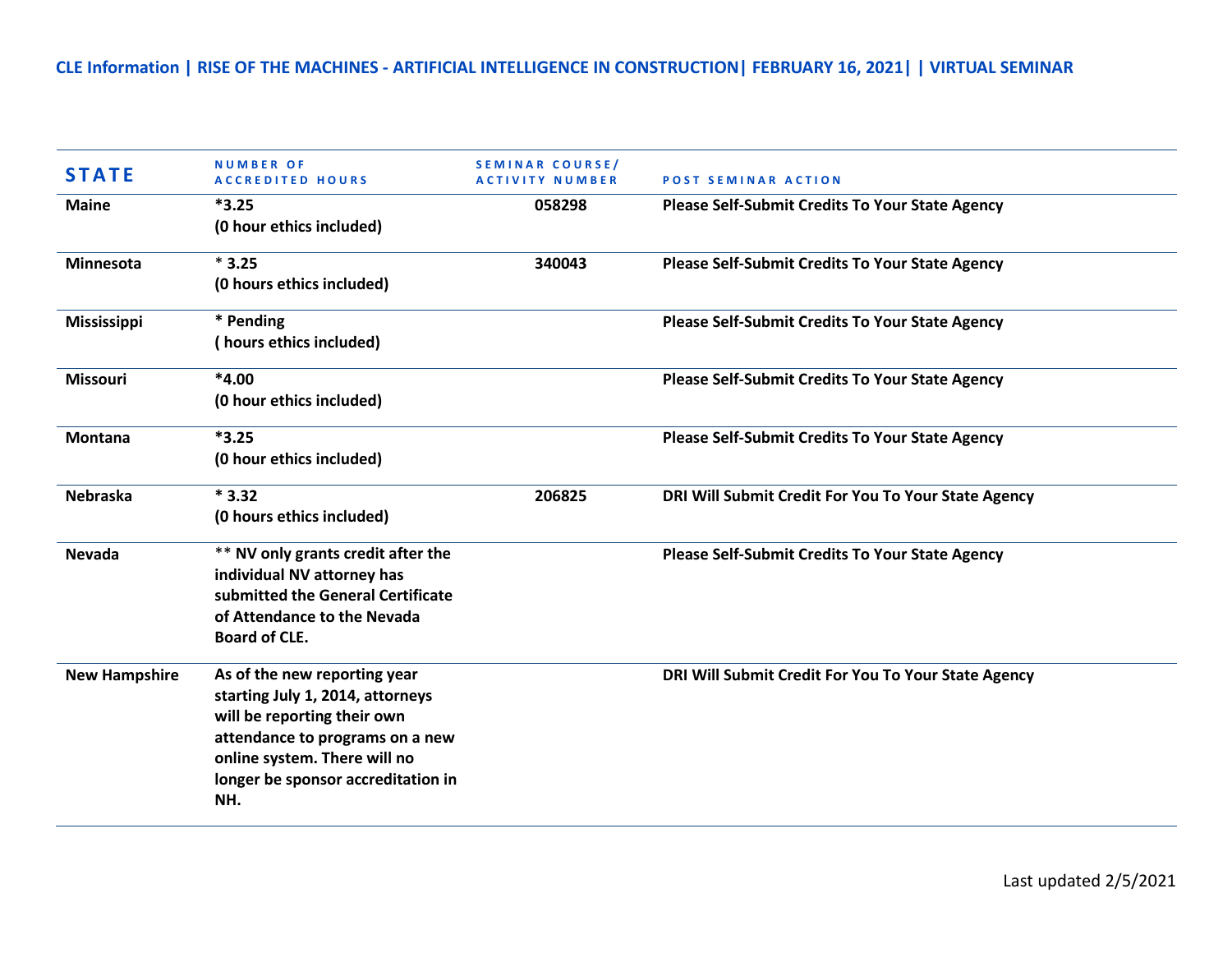| <b>STATE</b>         | <b>NUMBER OF</b><br><b>ACCREDITED HOURS</b>                                                                                                                                                                     | <b>SEMINAR COURSE/</b><br><b>ACTIVITY NUMBER</b> | <b>POST SEMINAR ACTION</b>                             |
|----------------------|-----------------------------------------------------------------------------------------------------------------------------------------------------------------------------------------------------------------|--------------------------------------------------|--------------------------------------------------------|
| <b>Maine</b>         | $*3.25$<br>(0 hour ethics included)                                                                                                                                                                             | 058298                                           | <b>Please Self-Submit Credits To Your State Agency</b> |
| <b>Minnesota</b>     | $*3.25$<br>(0 hours ethics included)                                                                                                                                                                            | 340043                                           | <b>Please Self-Submit Credits To Your State Agency</b> |
| <b>Mississippi</b>   | * Pending<br>(hours ethics included)                                                                                                                                                                            |                                                  | <b>Please Self-Submit Credits To Your State Agency</b> |
| <b>Missouri</b>      | $*4.00$<br>(0 hour ethics included)                                                                                                                                                                             |                                                  | <b>Please Self-Submit Credits To Your State Agency</b> |
| <b>Montana</b>       | $*3.25$<br>(0 hour ethics included)                                                                                                                                                                             |                                                  | <b>Please Self-Submit Credits To Your State Agency</b> |
| Nebraska             | $*3.32$<br>(0 hours ethics included)                                                                                                                                                                            | 206825                                           | DRI Will Submit Credit For You To Your State Agency    |
| <b>Nevada</b>        | ** NV only grants credit after the<br>individual NV attorney has<br>submitted the General Certificate<br>of Attendance to the Nevada<br><b>Board of CLE.</b>                                                    |                                                  | <b>Please Self-Submit Credits To Your State Agency</b> |
| <b>New Hampshire</b> | As of the new reporting year<br>starting July 1, 2014, attorneys<br>will be reporting their own<br>attendance to programs on a new<br>online system. There will no<br>longer be sponsor accreditation in<br>NH. |                                                  | DRI Will Submit Credit For You To Your State Agency    |

Last updated 2/5/2021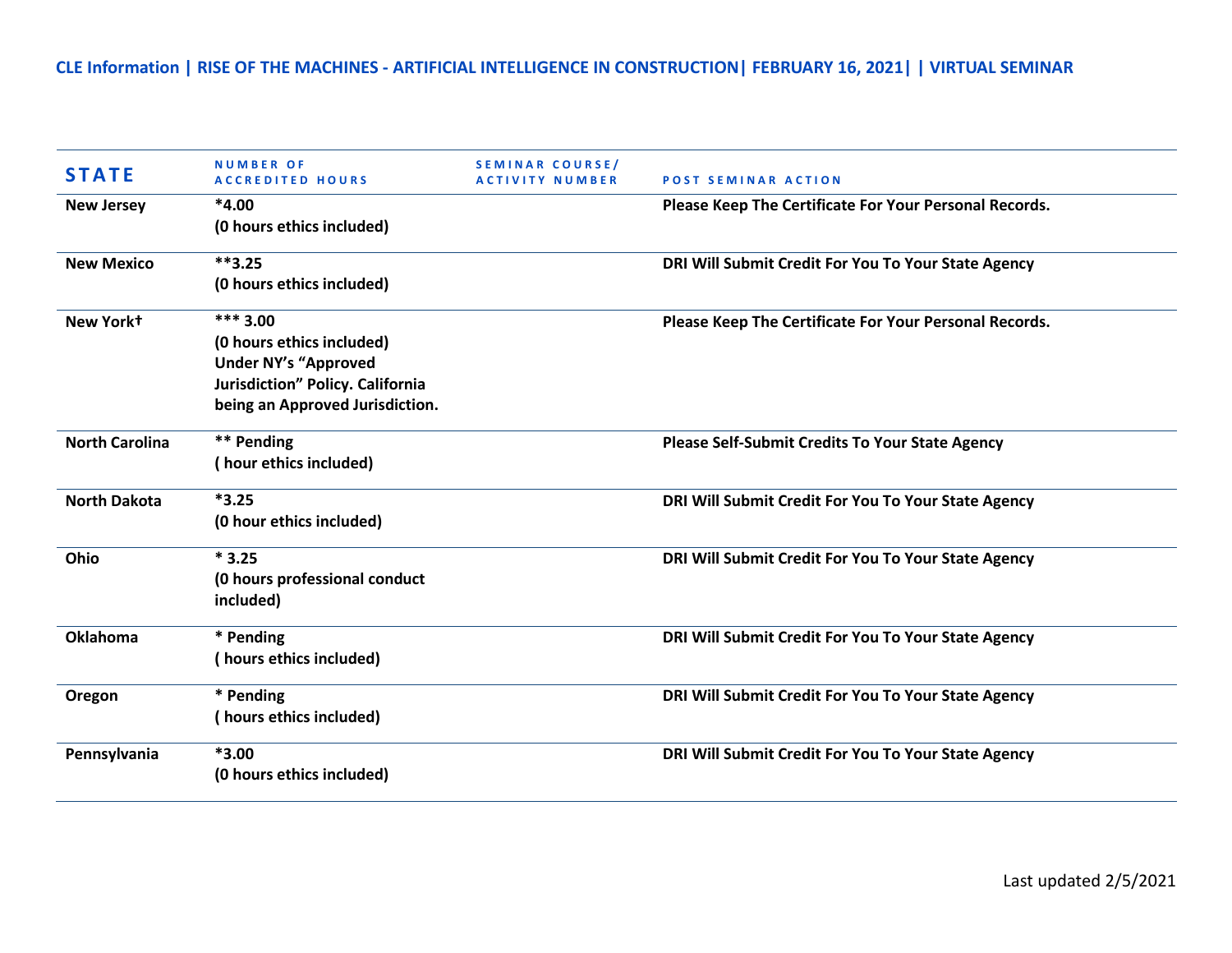| <b>STATE</b>          | NUMBER OF<br><b>ACCREDITED HOURS</b> | <b>SEMINAR COURSE/</b><br><b>ACTIVITY NUMBER</b> | <b>POST SEMINAR ACTION</b>                             |
|-----------------------|--------------------------------------|--------------------------------------------------|--------------------------------------------------------|
| <b>New Jersey</b>     | $*4.00$<br>(0 hours ethics included) |                                                  | Please Keep The Certificate For Your Personal Records. |
|                       |                                      |                                                  |                                                        |
| <b>New Mexico</b>     | $***3.25$                            |                                                  | DRI Will Submit Credit For You To Your State Agency    |
|                       | (0 hours ethics included)            |                                                  |                                                        |
| New York+             | $***3.00$                            |                                                  | Please Keep The Certificate For Your Personal Records. |
|                       | (0 hours ethics included)            |                                                  |                                                        |
|                       | <b>Under NY's "Approved</b>          |                                                  |                                                        |
|                       | Jurisdiction" Policy. California     |                                                  |                                                        |
|                       | being an Approved Jurisdiction.      |                                                  |                                                        |
| <b>North Carolina</b> | ** Pending                           |                                                  | <b>Please Self-Submit Credits To Your State Agency</b> |
|                       | (hour ethics included)               |                                                  |                                                        |
| <b>North Dakota</b>   | $*3.25$                              |                                                  | DRI Will Submit Credit For You To Your State Agency    |
|                       | (0 hour ethics included)             |                                                  |                                                        |
| Ohio                  | $*3.25$                              |                                                  | DRI Will Submit Credit For You To Your State Agency    |
|                       | (0 hours professional conduct        |                                                  |                                                        |
|                       | included)                            |                                                  |                                                        |
| Oklahoma              | * Pending                            |                                                  | DRI Will Submit Credit For You To Your State Agency    |
|                       | (hours ethics included)              |                                                  |                                                        |
| Oregon                | * Pending                            |                                                  | DRI Will Submit Credit For You To Your State Agency    |
|                       | (hours ethics included)              |                                                  |                                                        |
| Pennsylvania          | $*3.00$                              |                                                  | DRI Will Submit Credit For You To Your State Agency    |
|                       | (0 hours ethics included)            |                                                  |                                                        |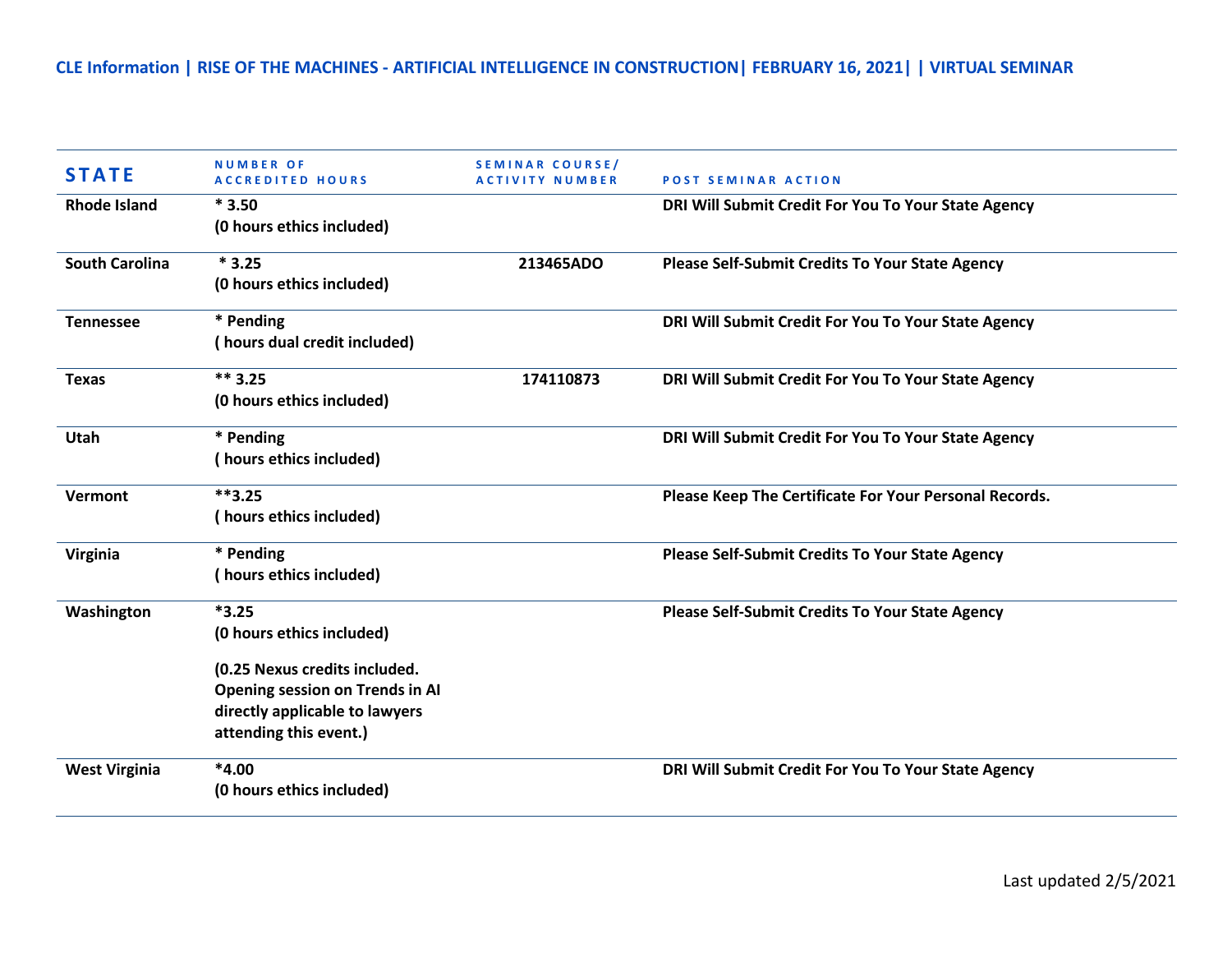| <b>STATE</b>          | <b>NUMBER OF</b><br><b>ACCREDITED HOURS</b>                                                                                                                                 | <b>SEMINAR COURSE/</b><br><b>ACTIVITY NUMBER</b> | <b>POST SEMINAR ACTION</b>                             |
|-----------------------|-----------------------------------------------------------------------------------------------------------------------------------------------------------------------------|--------------------------------------------------|--------------------------------------------------------|
| <b>Rhode Island</b>   | $*3.50$<br>(0 hours ethics included)                                                                                                                                        |                                                  | DRI Will Submit Credit For You To Your State Agency    |
| <b>South Carolina</b> | $*3.25$<br>(0 hours ethics included)                                                                                                                                        | 213465ADO                                        | <b>Please Self-Submit Credits To Your State Agency</b> |
| <b>Tennessee</b>      | * Pending<br>(hours dual credit included)                                                                                                                                   |                                                  | DRI Will Submit Credit For You To Your State Agency    |
| <b>Texas</b>          | $**$ 3.25<br>(0 hours ethics included)                                                                                                                                      | 174110873                                        | DRI Will Submit Credit For You To Your State Agency    |
| Utah                  | * Pending<br>(hours ethics included)                                                                                                                                        |                                                  | DRI Will Submit Credit For You To Your State Agency    |
| Vermont               | $***3.25$<br>(hours ethics included)                                                                                                                                        |                                                  | Please Keep The Certificate For Your Personal Records. |
| Virginia              | * Pending<br>(hours ethics included)                                                                                                                                        |                                                  | <b>Please Self-Submit Credits To Your State Agency</b> |
| Washington            | $*3.25$<br>(0 hours ethics included)<br>(0.25 Nexus credits included.<br><b>Opening session on Trends in AI</b><br>directly applicable to lawyers<br>attending this event.) |                                                  | <b>Please Self-Submit Credits To Your State Agency</b> |
| <b>West Virginia</b>  | $*4.00$<br>(0 hours ethics included)                                                                                                                                        |                                                  | DRI Will Submit Credit For You To Your State Agency    |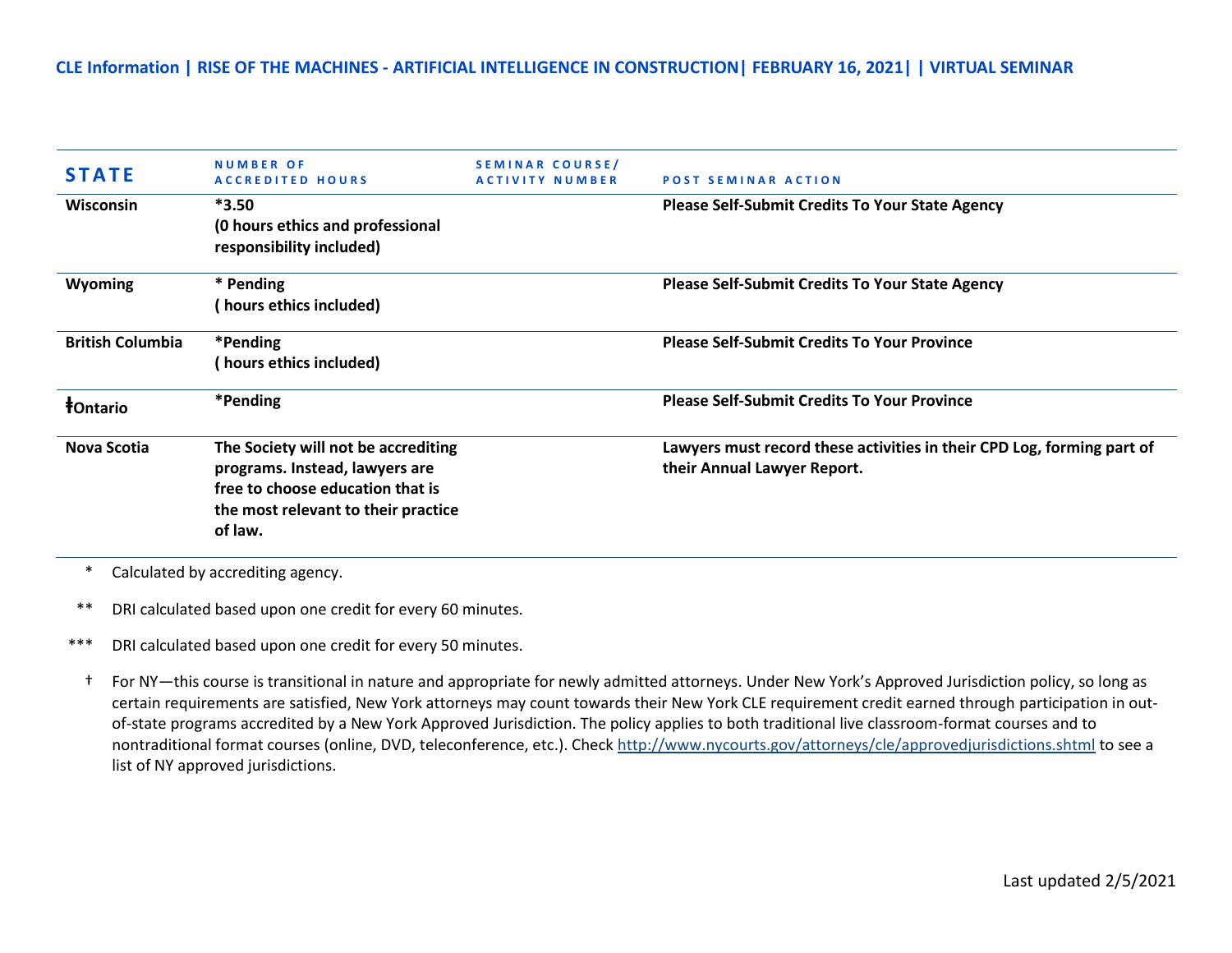| <b>STATE</b>                  | <b>NUMBER OF</b><br><b>ACCREDITED HOURS</b>                                                                                                                 | SEMINAR COURSE/<br><b>ACTIVITY NUMBER</b> | <b>POST SEMINAR ACTION</b>                                                                            |
|-------------------------------|-------------------------------------------------------------------------------------------------------------------------------------------------------------|-------------------------------------------|-------------------------------------------------------------------------------------------------------|
| <b>Wisconsin</b>              | $*3.50$<br>(0 hours ethics and professional<br>responsibility included)                                                                                     |                                           | <b>Please Self-Submit Credits To Your State Agency</b>                                                |
| <b>Wyoming</b>                | * Pending<br>hours ethics included)                                                                                                                         |                                           | <b>Please Self-Submit Credits To Your State Agency</b>                                                |
| <b>British Columbia</b>       | *Pending<br>hours ethics included)                                                                                                                          |                                           | <b>Please Self-Submit Credits To Your Province</b>                                                    |
| <b><i><u>†Ontario</u></i></b> | *Pending                                                                                                                                                    |                                           | <b>Please Self-Submit Credits To Your Province</b>                                                    |
| Nova Scotia                   | The Society will not be accrediting<br>programs. Instead, lawyers are<br>free to choose education that is<br>the most relevant to their practice<br>of law. |                                           | Lawyers must record these activities in their CPD Log, forming part of<br>their Annual Lawyer Report. |

\* Calculated by accrediting agency.

\*\* DRI calculated based upon one credit for every 60 minutes.

\*\*\* DRI calculated based upon one credit for every 50 minutes.

† For NY—this course is transitional in nature and appropriate for newly admitted attorneys. Under New York's Approved Jurisdiction policy, so long as certain requirements are satisfied, New York attorneys may count towards their New York CLE requirement credit earned through participation in outof-state programs accredited by a New York Approved Jurisdiction. The policy applies to both traditional live classroom-format courses and to nontraditional format courses (online, DVD, teleconference, etc.). Check<http://www.nycourts.gov/attorneys/cle/approvedjurisdictions.shtml> to see a list of NY approved jurisdictions.